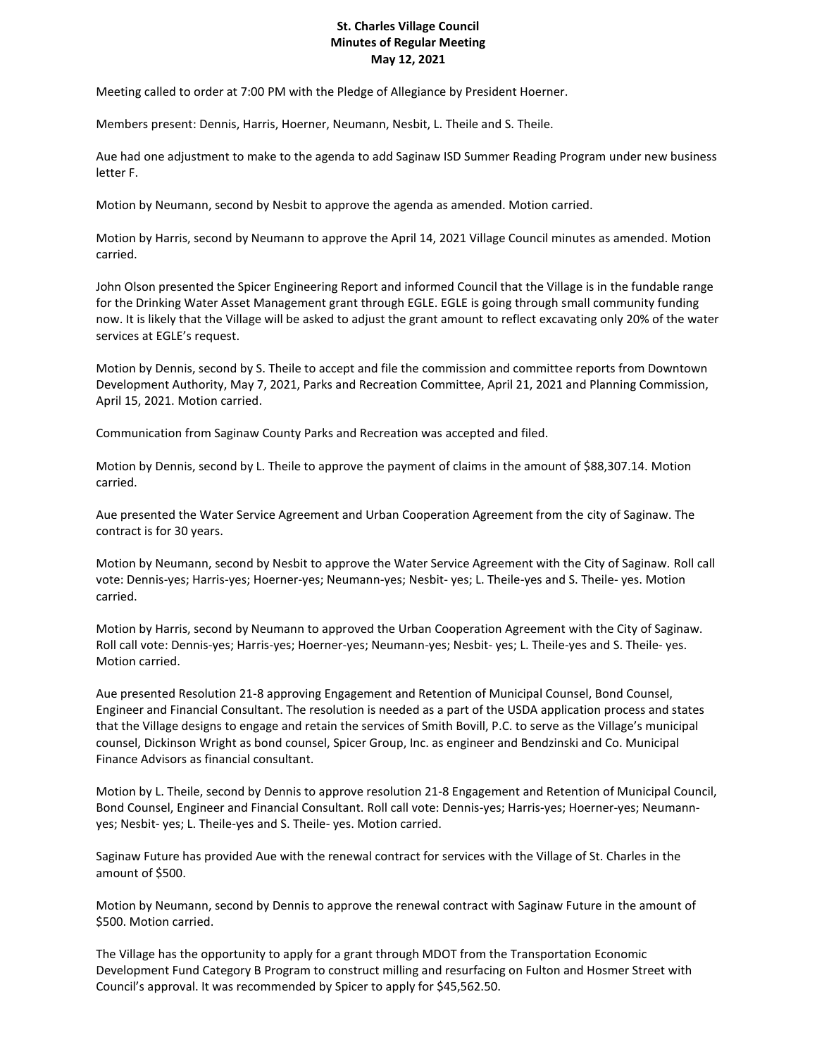## **St. Charles Village Council Minutes of Regular Meeting May 12, 2021**

Meeting called to order at 7:00 PM with the Pledge of Allegiance by President Hoerner.

Members present: Dennis, Harris, Hoerner, Neumann, Nesbit, L. Theile and S. Theile.

Aue had one adjustment to make to the agenda to add Saginaw ISD Summer Reading Program under new business letter F.

Motion by Neumann, second by Nesbit to approve the agenda as amended. Motion carried.

Motion by Harris, second by Neumann to approve the April 14, 2021 Village Council minutes as amended. Motion carried.

John Olson presented the Spicer Engineering Report and informed Council that the Village is in the fundable range for the Drinking Water Asset Management grant through EGLE. EGLE is going through small community funding now. It is likely that the Village will be asked to adjust the grant amount to reflect excavating only 20% of the water services at EGLE's request.

Motion by Dennis, second by S. Theile to accept and file the commission and committee reports from Downtown Development Authority, May 7, 2021, Parks and Recreation Committee, April 21, 2021 and Planning Commission, April 15, 2021. Motion carried.

Communication from Saginaw County Parks and Recreation was accepted and filed.

Motion by Dennis, second by L. Theile to approve the payment of claims in the amount of \$88,307.14. Motion carried.

Aue presented the Water Service Agreement and Urban Cooperation Agreement from the city of Saginaw. The contract is for 30 years.

Motion by Neumann, second by Nesbit to approve the Water Service Agreement with the City of Saginaw. Roll call vote: Dennis-yes; Harris-yes; Hoerner-yes; Neumann-yes; Nesbit- yes; L. Theile-yes and S. Theile- yes. Motion carried.

Motion by Harris, second by Neumann to approved the Urban Cooperation Agreement with the City of Saginaw. Roll call vote: Dennis-yes; Harris-yes; Hoerner-yes; Neumann-yes; Nesbit- yes; L. Theile-yes and S. Theile- yes. Motion carried.

Aue presented Resolution 21-8 approving Engagement and Retention of Municipal Counsel, Bond Counsel, Engineer and Financial Consultant. The resolution is needed as a part of the USDA application process and states that the Village designs to engage and retain the services of Smith Bovill, P.C. to serve as the Village's municipal counsel, Dickinson Wright as bond counsel, Spicer Group, Inc. as engineer and Bendzinski and Co. Municipal Finance Advisors as financial consultant.

Motion by L. Theile, second by Dennis to approve resolution 21-8 Engagement and Retention of Municipal Council, Bond Counsel, Engineer and Financial Consultant. Roll call vote: Dennis-yes; Harris-yes; Hoerner-yes; Neumannyes; Nesbit- yes; L. Theile-yes and S. Theile- yes. Motion carried.

Saginaw Future has provided Aue with the renewal contract for services with the Village of St. Charles in the amount of \$500.

Motion by Neumann, second by Dennis to approve the renewal contract with Saginaw Future in the amount of \$500. Motion carried.

The Village has the opportunity to apply for a grant through MDOT from the Transportation Economic Development Fund Category B Program to construct milling and resurfacing on Fulton and Hosmer Street with Council's approval. It was recommended by Spicer to apply for \$45,562.50.